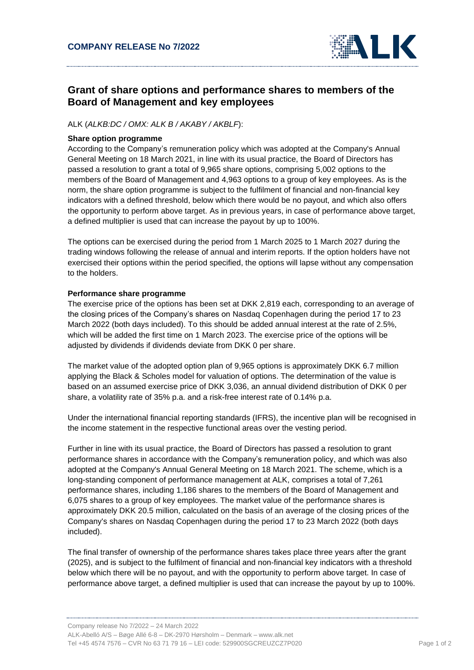

# **Grant of share options and performance shares to members of the Board of Management and key employees**

## ALK (*ALKB:DC / OMX: ALK B / AKABY / AKBLF*):

#### **Share option programme**

According to the Company's remuneration policy which was adopted at the Company's Annual General Meeting on 18 March 2021, in line with its usual practice, the Board of Directors has passed a resolution to grant a total of 9,965 share options, comprising 5,002 options to the members of the Board of Management and 4,963 options to a group of key employees. As is the norm, the share option programme is subject to the fulfilment of financial and non-financial key indicators with a defined threshold, below which there would be no payout, and which also offers the opportunity to perform above target. As in previous years, in case of performance above target, a defined multiplier is used that can increase the payout by up to 100%.

The options can be exercised during the period from 1 March 2025 to 1 March 2027 during the trading windows following the release of annual and interim reports. If the option holders have not exercised their options within the period specified, the options will lapse without any compensation to the holders.

### **Performance share programme**

The exercise price of the options has been set at DKK 2,819 each, corresponding to an average of the closing prices of the Company's shares on Nasdaq Copenhagen during the period 17 to 23 March 2022 (both days included). To this should be added annual interest at the rate of 2.5%, which will be added the first time on 1 March 2023. The exercise price of the options will be adjusted by dividends if dividends deviate from DKK 0 per share.

The market value of the adopted option plan of 9,965 options is approximately DKK 6.7 million applying the Black & Scholes model for valuation of options. The determination of the value is based on an assumed exercise price of DKK 3,036, an annual dividend distribution of DKK 0 per share, a volatility rate of 35% p.a. and a risk-free interest rate of 0.14% p.a.

Under the international financial reporting standards (IFRS), the incentive plan will be recognised in the income statement in the respective functional areas over the vesting period.

Further in line with its usual practice, the Board of Directors has passed a resolution to grant performance shares in accordance with the Company's remuneration policy, and which was also adopted at the Company's Annual General Meeting on 18 March 2021. The scheme, which is a long-standing component of performance management at ALK, comprises a total of 7,261 performance shares, including 1,186 shares to the members of the Board of Management and 6,075 shares to a group of key employees. The market value of the performance shares is approximately DKK 20.5 million, calculated on the basis of an average of the closing prices of the Company's shares on Nasdaq Copenhagen during the period 17 to 23 March 2022 (both days included).

The final transfer of ownership of the performance shares takes place three years after the grant (2025), and is subject to the fulfilment of financial and non-financial key indicators with a threshold below which there will be no payout, and with the opportunity to perform above target. In case of performance above target, a defined multiplier is used that can increase the payout by up to 100%.